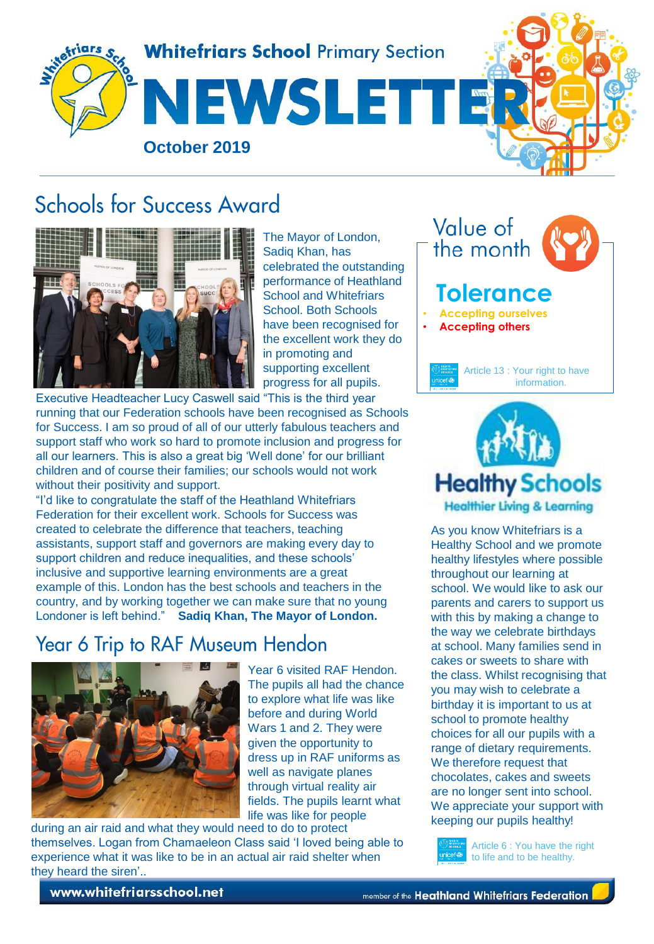

# Schools for Success Award



The Mayor of London, Sadiq Khan, has celebrated the outstanding performance of Heathland School and Whitefriars School. Both Schools have been recognised for the excellent work they do in promoting and supporting excellent progress for all pupils.

Executive Headteacher Lucy Caswell said "This is the third year running that our Federation schools have been recognised as Schools for Success. I am so proud of all of our utterly fabulous teachers and support staff who work so hard to promote inclusion and progress for all our learners. This is also a great big 'Well done' for our brilliant children and of course their families; our schools would not work without their positivity and support.

"I'd like to congratulate the staff of the Heathland Whitefriars Federation for their excellent work. Schools for Success was created to celebrate the difference that teachers, teaching assistants, support staff and governors are making every day to support children and reduce inequalities, and these schools' inclusive and supportive learning environments are a great example of this. London has the best schools and teachers in the country, and by working together we can make sure that no young Londoner is left behind." **Sadiq Khan, The Mayor of London.**

## **Year 6 Trip to RAF Museum Hendon**



Year 6 visited RAF Hendon. The pupils all had the chance to explore what life was like before and during World Wars 1 and 2. They were given the opportunity to dress up in RAF uniforms as well as navigate planes through virtual reality air fields. The pupils learnt what life was like for people

during an air raid and what they would need to do to protect themselves. Logan from Chamaeleon Class said 'I loved being able to experience what it was like to be in an actual air raid shelter when they heard the siren'..

Value of the month **Tolerance** • **Accepting ourselves**  • **Accepting others**  Article 13 : Your right to have information.



As you know Whitefriars is a Healthy School and we promote healthy lifestyles where possible throughout our learning at school. We would like to ask our parents and carers to support us with this by making a change to the way we celebrate birthdays at school. Many families send in cakes or sweets to share with the class. Whilst recognising that you may wish to celebrate a birthday it is important to us at school to promote healthy choices for all our pupils with a range of dietary requirements. We therefore request that chocolates, cakes and sweets are no longer sent into school. We appreciate your support with keeping our pupils healthy!



Article 6 : You have the right to life and to be healthy.

www.whitefriarsschool.net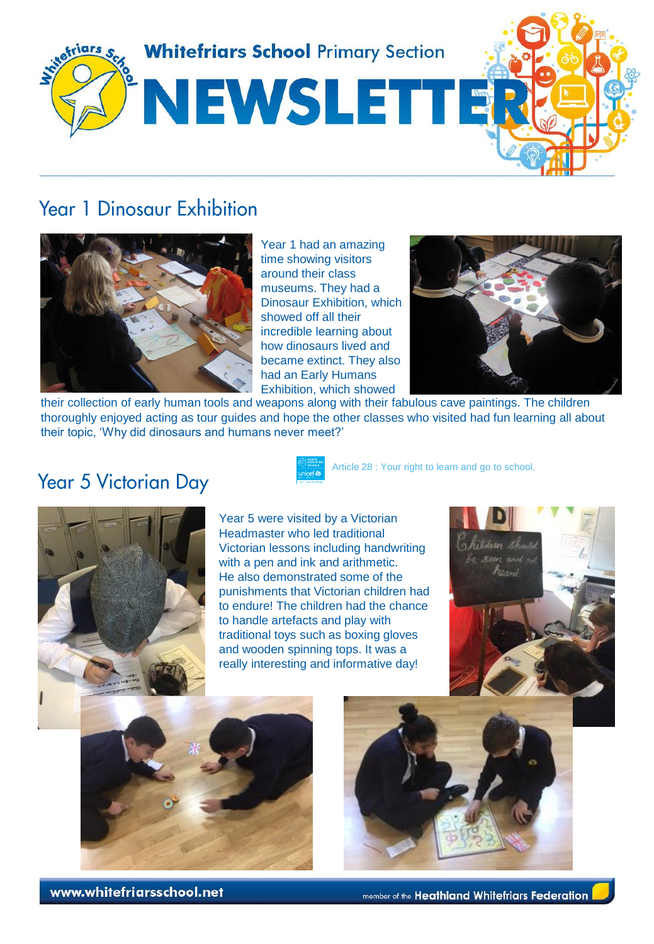

## **Year 1 Dinosaur Exhibition**



Year 1 had an amazing time showing visitors around their class museums. They had a Dinosaur Exhibition, which showed off all their incredible learning about how dinosaurs lived and became extinct. They also had an Early Humans Exhibition, which showed



their collection of early human tools and weapons along with their fabulous cave paintings. The children thoroughly enjoyed acting as tour guides and hope the other classes who visited had fun learning all about their topic, 'Why did dinosaurs and humans never meet?'

#### **Year 5 Victorian Day**



Article 28 : Your right to learn and go to school.



Year 5 were visited by a Victorian Headmaster who led traditional Victorian lessons including handwriting with a pen and ink and arithmetic. He also demonstrated some of the punishments that Victorian children had to endure! The children had the chance to handle artefacts and play with traditional toys such as boxing gloves and wooden spinning tops. It was a really interesting and informative day!







www.whitefriarsschool.net